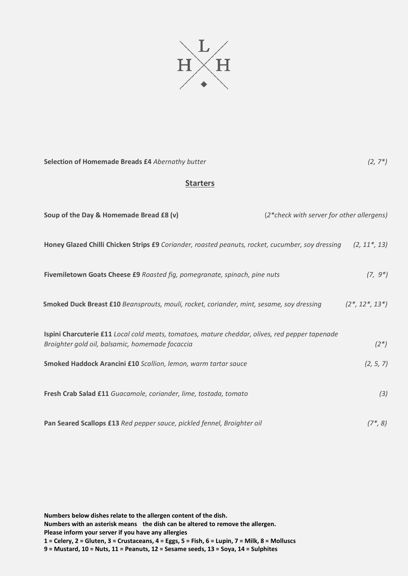

**Selection of Homemade Breads £4** *Abernathy butter**(2, 7\*)*

## **Starters**

| Soup of the Day & Homemade Bread £8 (v)                                                                                                           | (2*check with server for other allergens) |                     |
|---------------------------------------------------------------------------------------------------------------------------------------------------|-------------------------------------------|---------------------|
| Honey Glazed Chilli Chicken Strips £9 Coriander, roasted peanuts, rocket, cucumber, soy dressing                                                  |                                           | $(2, 11^*, 13)$     |
| Fivemiletown Goats Cheese £9 Roasted fig, pomegranate, spinach, pine nuts                                                                         |                                           | $(7, 9^*)$          |
| Smoked Duck Breast £10 Beansprouts, mouli, rocket, coriander, mint, sesame, soy dressing                                                          |                                           | $(2^*, 12^*, 13^*)$ |
| Ispini Charcuterie £11 Local cold meats, tomatoes, mature cheddar, olives, red pepper tapenade<br>Broighter gold oil, balsamic, homemade focaccia |                                           | $(2^*)$             |
| Smoked Haddock Arancini £10 Scallion, lemon, warm tartar sauce                                                                                    |                                           | (2, 5, 7)           |
| Fresh Crab Salad £11 Guacamole, coriander, lime, tostada, tomato                                                                                  |                                           | (3)                 |
| Pan Seared Scallops £13 Red pepper sauce, pickled fennel, Broighter oil                                                                           |                                           | $(7^*, 8)$          |

**Numbers below dishes relate to the allergen content of the dish.** 

**Numbers with an asterisk means the dish can be altered to remove the allergen.** 

**Please inform your server if you have any allergies**

**1 = Celery, 2 = Gluten, 3 = Crustaceans, 4 = Eggs, 5 = Fish, 6 = Lupin, 7 = Milk, 8 = Molluscs 9 = Mustard, 10 = Nuts, 11 = Peanuts, 12 = Sesame seeds, 13 = Soya, 14 = Sulphites**